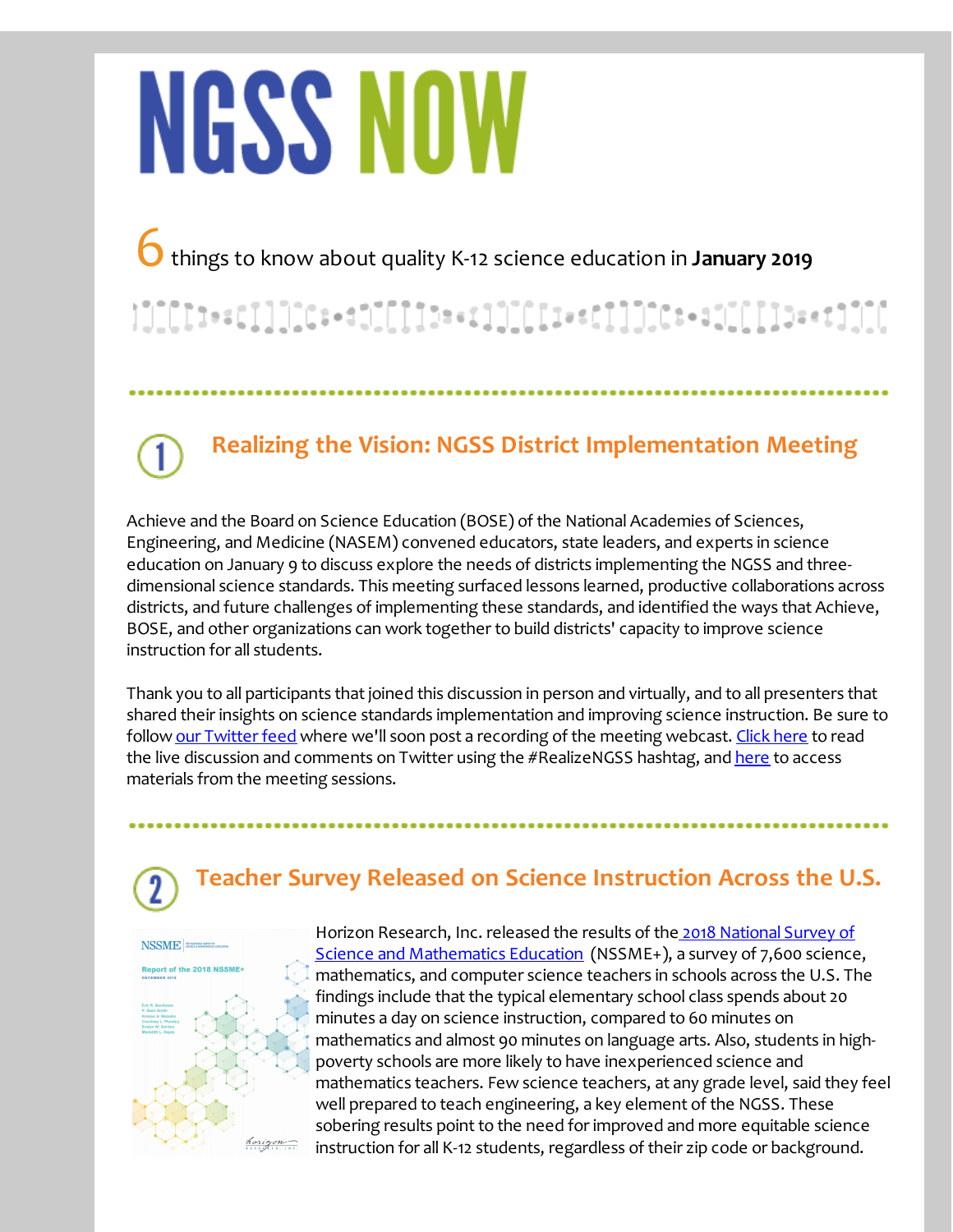# **NGSS NOW**

6things to know about quality K-12 science education in **January <sup>2019</sup>**

# 

**Realizing the Vision: NGSS District Implementation Meeting**

Achieve and the Board on Science Education (BOSE) of the National Academies of Sciences, Engineering, and Medicine (NASEM) convened educators, state leaders, and experts in science education on January 9 to discuss explore the needs of districts implementing the NGSS and threedimensional science standards. This meeting surfaced lessons learned, productive collaborations across districts, and future challenges of implementing these standards, and identified the ways that Achieve, BOSE, and other organizations can work together to build districts' capacity to improve science instruction for all students.

Thank you to all participants that joined this discussion in person and virtually, and to all presenters that shared their insights on science standards implementation and improving science instruction. Be sure to follow our [Twitter](http://r20.rs6.net/tn.jsp?f=001UjOysW5xoQPZReP7v9Sruw2lC0-_t9cBjeQC4X__T1Mo8bkau_-Ez8oUCst5mDmPtf3m9JkqM9-4aPeIdDxcNB03jfNAmu35x2nYz51XwkSnv2G1lN_rD3B8s8_YzdQ2nO6WMfPwd00HyyhxYS2y0hc_b4SXhS5Ug6mrZUszrj0DkVa2r2LhHg==&c=&ch=) feed where we'll soon post a recording of the meeting webcast. [Click](http://r20.rs6.net/tn.jsp?f=001UjOysW5xoQPZReP7v9Sruw2lC0-_t9cBjeQC4X__T1Mo8bkau_-Ez8oUCst5mDmPVqmE4MYDOPLUuldvj0KeFiUlqB29kqXT1HWjoUgylbbtkWKv7bqSK9bRS8O2KTWfBikRK83OlPu_Sw5ISc2yFM0VwqP28iFIhVjk9xwSjIf6Bd6Sl-TECteOV7Xeav9InaL_gnOecsD8aptBr_qjoT8n4yBFSnY0&c=&ch=) here to read the live discussion and comments on Twitter using the #RealizeNGSS hashtag, and [here](http://r20.rs6.net/tn.jsp?f=001UjOysW5xoQPZReP7v9Sruw2lC0-_t9cBjeQC4X__T1Mo8bkau_-Ez8oUCst5mDmPugKI2aFvKcsNeCiq6to1OQ9j9uYYfxjVwG8NJEDn4R83yCU8JXb12mGAzYYRxjW0EPA8_BtMn9hfxOAvcQYQvSCQqdd4hNt1t8HiaFozVibboDKSnwH8_DQmzSZvbkbTiRFEcAgtP2pn-fxBOnvjzvNgJWlfQOUFeuHf5KnkFHNQ9MTAdp1Elw==&c=&ch=) to access materials from the meeting sessions.

## **Teacher Survey Released on Science Instruction Across the U.S.**



Horizon Research, Inc. released the results of the 2018 National Survey of Science and [Mathematics](http://r20.rs6.net/tn.jsp?f=001UjOysW5xoQPZReP7v9Sruw2lC0-_t9cBjeQC4X__T1Mo8bkau_-Ez8oUCst5mDmP3xKcsvPbXGyb4_qtQ_9zUTfNwpfeF5On4hYIATucOcIIgHoYHk02FWg9c_oA_jGkCsU7v7W23LPt4tBcFz0IfJjZd4BWIpeiNqhN70lg34pGVGPReUvhQ6CSavqSsRU8paWCPudAAmT0jZxjYAFYiEpFnfzagca9cVO5FAqQASjVfeqQHXU6weSA99Y1OSJl1vytEDtAlE0=&c=&ch=) Education (NSSME+), a survey of 7,600 science, mathematics, and computer science teachers in schools across the U.S. The findings include that the typical elementary school class spends about 20 minutes a day on science instruction, compared to 60 minutes on mathematics and almost 90 minutes on language arts. Also, students in highpoverty schools are more likely to have inexperienced science and mathematics teachers. Few science teachers, at any grade level, said they feel well prepared to teach engineering, a key element of the NGSS. These sobering results point to the need for improved and more equitable science instruction for all K-12 students, regardless of their zip code or background.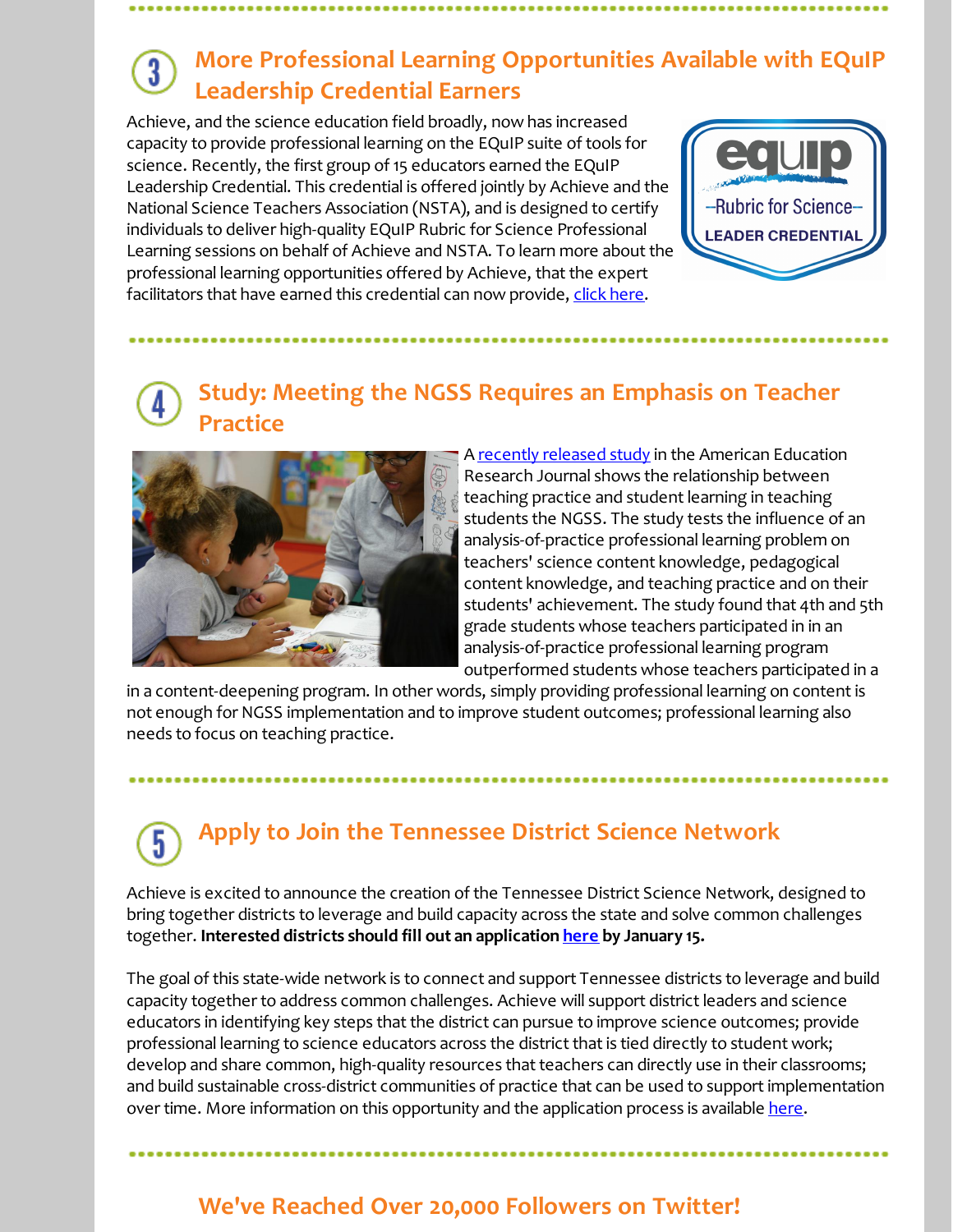#### **More Professional Learning Opportunities Available with EQuIP Leadership Credential Earners**

Achieve, and the science education field broadly, now has increased capacity to provide professional learning on the EQuIP suite of tools for science. Recently, the first group of 15 educators earned the EQuIP Leadership Credential. This credential is offered jointly by Achieve and the National Science Teachers Association (NSTA), and is designed to certify individuals to deliver high-quality EQuIP Rubric for Science Professional Learning sessions on behalf of Achieve and NSTA. To learn more about the professional learning opportunities offered by Achieve, that the expert facilitators that have earned this credential can now provide, click [here](http://r20.rs6.net/tn.jsp?f=001UjOysW5xoQPZReP7v9Sruw2lC0-_t9cBjeQC4X__T1Mo8bkau_-Ez8oUCst5mDmPWT4IeC_Sr0dDakC6OQzULeTSK5AJfKWQ81OTS2HIiIsfw9uZixd5ZuChG3zEn34hEPNa3BmfvfHvE7pwuVRNPEaSc1rIN1r5kPlX8USN0o_GCiYxPTW_XM4Sc-CdkGN4dWgFSHwogKr3ltt4ZtOdCXiy8M3CLIlqNyRHBdTmOEjSSorBqJTq-asphmvHxBVDu9-2av8UuJE4StAFdSS8RA==&c=&ch=).



### **Study: Meeting the NGSS Requires an Emphasis on Teacher Practice**



A recently [released](http://r20.rs6.net/tn.jsp?f=001UjOysW5xoQPZReP7v9Sruw2lC0-_t9cBjeQC4X__T1Mo8bkau_-Ez8oUCst5mDmPmjbT1-iSvK_CEb_dp0MqJSu2Zb5ercp9H2aV6OL_6Eru86uNr30ti-1psjNfSlPU4kTcwI2pbyyvBUWU7sjWYy-CIKbDZpuEuNPtl-4LMFwJvYcy3BywwCErFXNmupKtID7yXj9FH8AQBXBqkDzslgpwox9CX9Jwcr2XiF-vLVI=&c=&ch=) study in the American Education Research Journal shows the relationship between teaching practice and student learning in teaching students the NGSS. The study tests the influence of an analysis-of-practice professional learning problem on teachers' science content knowledge, pedagogical content knowledge, and teaching practice and on their students' achievement. The study found that 4th and 5th grade students whose teachers participated in in an analysis-of-practice professional learning program outperformed students whose teachers participated in a

in a content-deepening program. In other words, simply providing professional learning on contentis not enough for NGSS implementation and to improve student outcomes; professional learning also needs to focus on teaching practice.

#### **Apply to Join the Tennessee District Science Network** 5

Achieve is excited to announce the creation of the Tennessee District Science Network, designed to bring together districts to leverage and build capacity across the state and solve common challenges together. **Interested districts should fill out an application [here](http://r20.rs6.net/tn.jsp?f=001UjOysW5xoQPZReP7v9Sruw2lC0-_t9cBjeQC4X__T1Mo8bkau_-Ez6oPagB0f4GDJfQgwnpFO6bv7LrgYKjvuGjRqGqvkZRWvTL5F5O7lV4m3a80eBsePsgcEx-ouYmVi7LFjMGgJQQzBN1FpeNlzxymJKBtIbKsaklM_KIg9WpwPJqM-yL8e5R-XBNgC-GgWSfjUwPwAJQ=&c=&ch=) by January 15.**

The goal of this state-wide network is to connect and support Tennessee districts to leverage and build capacity together to address common challenges. Achieve will support district leaders and science educators in identifying key steps that the district can pursue to improve science outcomes; provide professional learning to science educators across the district that is tied directly to student work; develop and share common, high-quality resources that teachers can directly use in their classrooms; and build sustainable cross-district communities of practice that can be used to support implementation over time. More information on this opportunity and the application process is available [here](http://r20.rs6.net/tn.jsp?f=001UjOysW5xoQPZReP7v9Sruw2lC0-_t9cBjeQC4X__T1Mo8bkau_-Ez8oUCst5mDmPlmsy5gYziMsMXYHG_devHjT5WW8NXMLZN9iPg_zwxH-SG1Q4u7BDOyQUFAxsd_eUEjtLhJS82OCYcdFoM0IYJD_cFdX1cCcUqt20AcHp-4u9JGzhzP0rNNaf_g9rIMBSaK_RRwAKM8my7zsaj9UssA==&c=&ch=).

#### **We've Reached Over 20,000 Followers on Twitter!**